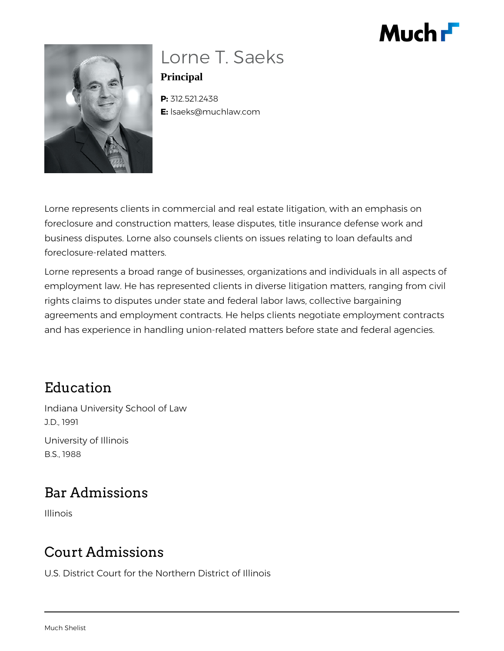



### Lorne T. Saeks **Principal**

**P:** 312.521.2438 **E:** lsaeks@muchlaw.com

Lorne represents clients in commercial and real estate litigation, with an emphasis on foreclosure and construction matters, lease disputes, title insurance defense work and business disputes. Lorne also counsels clients on issues relating to loan defaults and foreclosure-related matters.

Lorne represents a broad range of businesses, organizations and individuals in all aspects of employment law. He has represented clients in diverse litigation matters, ranging from civil rights claims to disputes under state and federal labor laws, collective bargaining agreements and employment contracts. He helps clients negotiate employment contracts and has experience in handling union-related matters before state and federal agencies.

#### Education

Indiana University School of Law J.D., 1991 University of Illinois B.S., 1988

# Bar Admissions

Illinois

# Court Admissions

U.S. District Court for the Northern District of Illinois